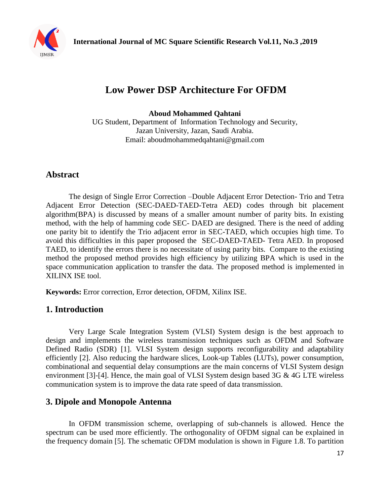

# **Low Power DSP Architecture For OFDM**

**Aboud Mohammed Qahtani** 

UG Student, Department of Information Technology and Security, Jazan University, Jazan, Saudi Arabia. Email: aboudmohammedqahtani@gmail.com

## **Abstract**

The design of Single Error Correction –Double Adjacent Error Detection- Trio and Tetra Adjacent Error Detection (SEC-DAED-TAED-Tetra AED) codes through bit placement algorithm(BPA) is discussed by means of a smaller amount number of parity bits. In existing method, with the help of hamming code SEC- DAED are designed. There is the need of adding one parity bit to identify the Trio adjacent error in SEC-TAED, which occupies high time. To avoid this difficulties in this paper proposed the SEC-DAED-TAED- Tetra AED. In proposed TAED, to identify the errors there is no necessitate of using parity bits. Compare to the existing method the proposed method provides high efficiency by utilizing BPA which is used in the space communication application to transfer the data. The proposed method is implemented in XILINX ISE tool.

**Keywords:** Error correction, Error detection, OFDM, Xilinx ISE.

## **1. Introduction**

Very Large Scale Integration System (VLSI) System design is the best approach to design and implements the wireless transmission techniques such as OFDM and Software Defined Radio (SDR) [1]. VLSI System design supports reconfigurability and adaptability efficiently [2]. Also reducing the hardware slices, Look-up Tables (LUTs), power consumption, combinational and sequential delay consumptions are the main concerns of VLSI System design environment [3]-[4]. Hence, the main goal of VLSI System design based 3G & 4G LTE wireless communication system is to improve the data rate speed of data transmission.

## **3. Dipole and Monopole Antenna**

In OFDM transmission scheme, overlapping of sub-channels is allowed. Hence the spectrum can be used more efficiently. The orthogonality of OFDM signal can be explained in the frequency domain [5]. The schematic OFDM modulation is shown in Figure 1.8. To partition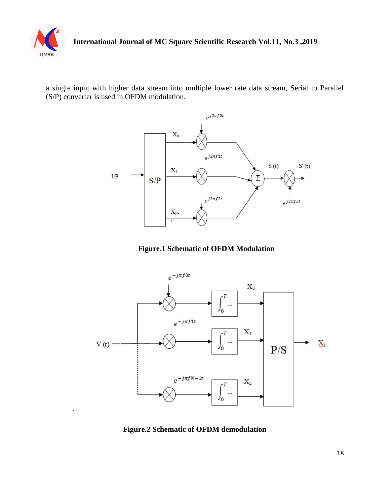

.

a single input with higher data stream into multiple lower rate data stream, Serial to Parallel (S/P) converter is used in OFDM modulation.







**Figure.2 Schematic of OFDM demodulation**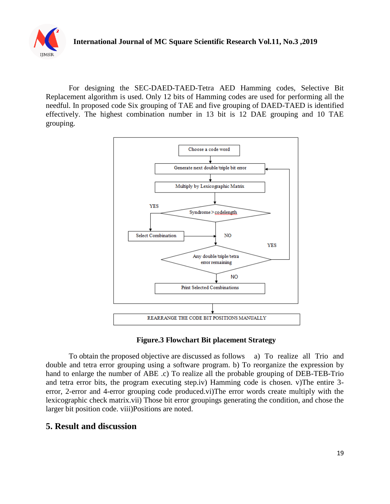

For designing the SEC-DAED-TAED-Tetra AED Hamming codes, Selective Bit Replacement algorithm is used. Only 12 bits of Hamming codes are used for performing all the needful. In proposed code Six grouping of TAE and five grouping of DAED-TAED is identified effectively. The highest combination number in 13 bit is 12 DAE grouping and 10 TAE grouping.



#### **Figure.3 Flowchart Bit placement Strategy**

To obtain the proposed objective are discussed as follows a) To realize all Trio and double and tetra error grouping using a software program. b) To reorganize the expression by hand to enlarge the number of ABE .c) To realize all the probable grouping of DEB-TEB-Trio and tetra error bits, the program executing step.iv) Hamming code is chosen. v)The entire 3 error, 2-error and 4-error grouping code produced.vi)The error words create multiply with the lexicographic check matrix.vii) Those bit error groupings generating the condition, and chose the larger bit position code. viii)Positions are noted.

## **5. Result and discussion**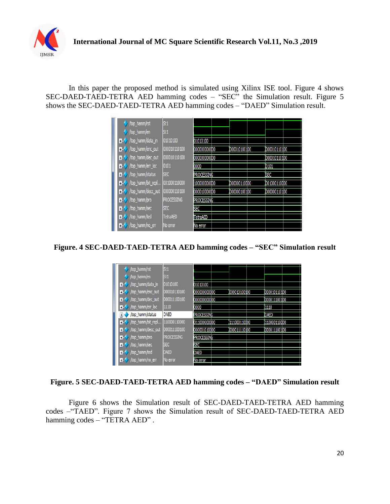

In this paper the proposed method is simulated using Xilinx ISE tool. Figure 4 shows SEC-DAED-TAED-TETRA AED hamming codes – "SEC" the Simulation result. Figure 5 shows the SEC-DAED-TAED-TETRA AED hamming codes – "DAED" Simulation result.

| /top_hamm/rst                     | St1               |              |              |               |  |
|-----------------------------------|-------------------|--------------|--------------|---------------|--|
| /top_hamm/en                      | St1               |              |              |               |  |
| /top_hamm/data_in<br>89           | 01010100          | 01010100     |              |               |  |
| /top_hamm/enc_out<br>$+$          | 000010110100      | 000000000000 | 000010100100 | 0000010110100 |  |
| /top_hamm/dec_out<br>$+$          | 000010110100      | 00000000000  |              | 000010110100  |  |
| /top_hamm/err_loc<br>89           | 0101              | 10000        |              | 10101         |  |
| /top_hamm/status<br>Ŧ.            | <b>SEC</b>        | Processing   |              | )SEC          |  |
| /top_hamm/bit_repl<br>89          | 001000110000      | 100000000000 | 000000110000 | 1001000110000 |  |
| /top_hamm/decc_out<br>$\bigoplus$ | 000000110100      | 000010000000 | 000000100100 | 000000110100  |  |
| /top_hamm/pro<br>H 9              | <b>PROCESSING</b> | Processing   |              |               |  |
| /top_hamm/sec<br>÷                | SEC.              | <b>SEC</b>   |              |               |  |
| /top_hamm/ted<br>Ŧ.               | TetraAED          | (TetraAED    |              |               |  |
| /top_hamm/no_err<br>H 9           | No error          | No error     |              |               |  |

**Figure. 4 SEC-DAED-TAED-TETRA AED hamming codes – "SEC" Simulation result**

| /top_hamm/rst                  | St1               |                   |               |               |
|--------------------------------|-------------------|-------------------|---------------|---------------|
| /top_hamm/en                   | St1               |                   |               |               |
| /top_hamm/data_in<br>⊞-1       | 01010100          | 01010100          |               |               |
| /top_hamm/enc_out<br>Ŧ         | 000010110100      | 000000000000      | 0000010100100 | 000010110100  |
| /top_hamm/dec_out<br>$+ -$     | 000011100100      | 000000000000      |               | 000011100100  |
| /top_hamm/err_loc<br>$+$       | 1110              | 0000              |               | 1110          |
| /top_hamm/status<br>$\pm$      | <b>DAED</b>       | <b>PROCESSING</b> |               | Daed          |
| /top_hamm/bit_repl<br>н.       | 110000110000      | 011000000000      | 1111000110000 | (110000110000 |
| /top_hamm/decc_out<br>$\oplus$ | 000011100100      | 000001010000      | 000011110100  | 000011100100  |
| /top_hamm/pro<br>$+$           | <b>PROCESSING</b> | Processing        |               |               |
| /top_hamm/sec<br>$+$           | <b>SEC</b>        | <b>SEC</b>        |               |               |
| /top_hamm/ted<br>$+ -$         | DAED              | DAED              |               |               |
| /top_hamm/no_err<br>$\ddot{}$  | No error          | No error          |               |               |
|                                |                   |                   |               |               |

#### **Figure. 5 SEC-DAED-TAED-TETRA AED hamming codes – "DAED" Simulation result**

Figure 6 shows the Simulation result of SEC-DAED-TAED-TETRA AED hamming codes –"TAED". Figure 7 shows the Simulation result of SEC-DAED-TAED-TETRA AED hamming codes - "TETRA AED".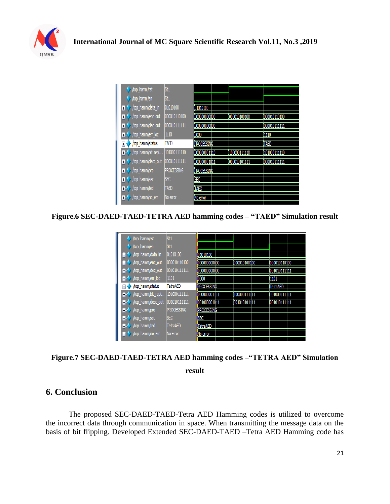

| /top_hamm/rst                  | St1               |              |              |               |
|--------------------------------|-------------------|--------------|--------------|---------------|
| /top_hamm/en                   | St1               |              |              |               |
| /top_hamm/data_in<br>$+$       | 01010100          | 01010100     |              |               |
| /top_hamm/enc_out<br>$\ddot{}$ | 000010110100      | 000000000000 | 000010100100 | 0000010110100 |
| /top_hamm/dec_out<br>٠H        | 000010111111      | 000000000000 |              | 000010111111  |
| /top_hamm/err_loc<br>÷         | 1110              | 0000         |              | 1110          |
| /top_hamm/status<br>$\ddot{}$  | <b>TAED</b>       | PROCESSING   |              | (TAED         |
| /top_hamm/bit_repl<br>$+$      | 101000111110      | 000000001110 | 100000111110 | 101000111110  |
| /top_hamm/decc_out<br>$+$      | 000010111111      | 000000001011 | 000010101111 | 000010111111  |
| /top_hamm/pro<br>Đ             | <b>PROCESSING</b> | Processing   |              |               |
| /top_hamm/sec<br>٠H            | <b>SEC</b>        | SEC          |              |               |
| /top_hamm/ted<br>Ŧ.            | <b>TAED</b>       | TAED         |              |               |
| $\rightarrow$ /top_hamm/no_err | No error          | No error     |              |               |

**Figure.6 SEC-DAED-TAED-TETRA AED hamming codes – "TAED" Simulation result** 

| /top_hamm/rst                  | St1               |              |               |                 |  |
|--------------------------------|-------------------|--------------|---------------|-----------------|--|
| /top_hamm/en                   | St1               |              |               |                 |  |
| /top_hamm/data_in<br>н.        | 01010100          | 01010100     |               |                 |  |
| /top_hamm/enc_out<br>Ŧ.        | 000010110100      | 000000000000 | 0000010100100 | 0000010110100   |  |
| /top_hamm/dec_out<br>н.        | 001010111111      | 00000000000  |               | 001010111111    |  |
| /top_hamm/err_loc<br>$\ddot{}$ | 1101              | 0000         |               | 1101            |  |
| /top_hamm/status<br>$\ddot{}$  | TetraAED          | PROCESSING   |               | <b>TetraAED</b> |  |
| /top_hamm/bit_repl<br>Ŧ        | 101000111111      | 000000001111 | (100000111111 | (101000111111   |  |
| /top_hamm/decc_out<br>Ŧ        | 001010111111      | 001000001011 | 001010101111  | 001010111111    |  |
| /top_hamm/pro<br>$+$           | <b>PROCESSING</b> | Processing   |               |                 |  |
| /top_hamm/sec<br>Ŧ.            | <b>SEC</b>        | <b>SEC</b>   |               |                 |  |
| /top_hamm/ted<br>н.            | <b>TetraAED</b>   | TetraAED     |               |                 |  |
| /top_hamm/no_err<br><b>H-9</b> | No error          | No error     |               |                 |  |
|                                |                   |              |               |                 |  |

**Figure.7 SEC-DAED-TAED-TETRA AED hamming codes –"TETRA AED" Simulation result** 

## **6. Conclusion**

The proposed SEC-DAED-TAED-Tetra AED Hamming codes is utilized to overcome the incorrect data through communication in space. When transmitting the message data on the basis of bit flipping. Developed Extended SEC-DAED-TAED –Tetra AED Hamming code has